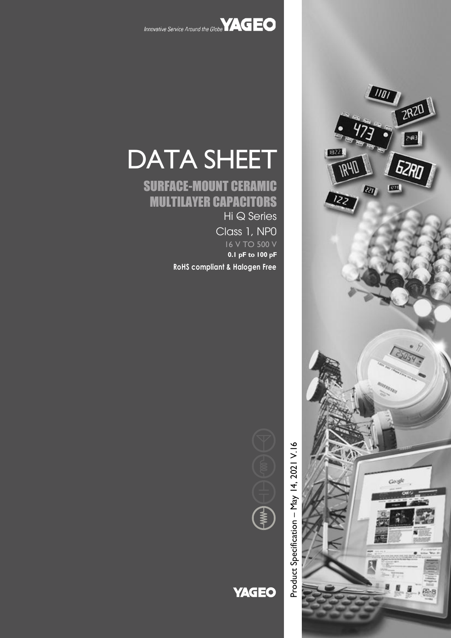



## SURFACE-MOUNT CERAMIC MULTILAYER CAPACITORS

Hi Q Series Class 1, NP0 16 V TO 500 V **0.1 pF to 100 pF**

**RoHS compliant & Halogen Free**





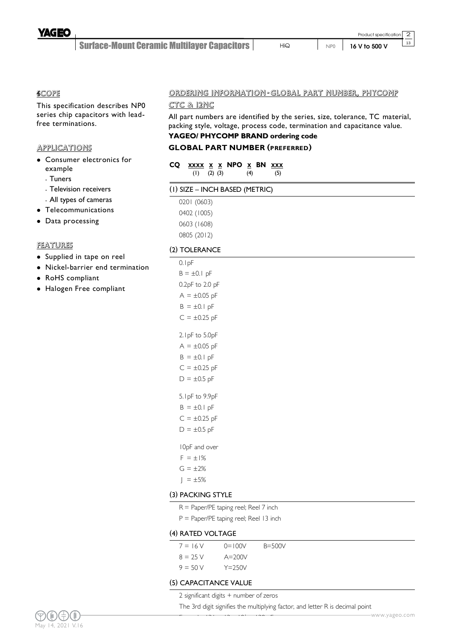

2  $\overline{13}$ 

#### 4SCOPE

This specification describes NP0 series chip capacitors with leadfree terminations.

#### **APPLICATIONS**

- Consumer electronics for example
	- Tuners
	- Television receivers
	- All types of cameras
- Telecommunications
- Data processing

#### FEATURES

- Supplied in tape on reel
- Nickel-barrier end termination
- RoHS compliant
- Halogen Free compliant

#### ORDERING INFORMATION - GLOBAL PART NUMBER, PHYCOMP

#### CTC & 12NC

All part numbers are identified by the series, size, tolerance, TC material, packing style, voltage, process code, termination and capacitance value.

## **YAGEO/ PHYCOMP BRAND ordering code**

### **GLOBAL PART NUMBER (PREFERRED)**

| CQ XXXX X X NPO X BN XXX |  |     |  |     |
|--------------------------|--|-----|--|-----|
| $(1)$ $(2)$ $(3)$        |  | (4) |  | (5) |

#### (1) SIZE – INCH BASED (METRIC)

0201 (0603) 0402 (1005) 0603 (1608) 0805 (2012)

#### (2) TOLERANCE

| 0.1pF             |
|-------------------|
| $B = \pm 0.1$ pF  |
| 0.2pF to 2.0 pF   |
| $A = \pm 0.05$ pF |
| $B = \pm 0.1$ pF  |
| $C = \pm 0.25$ pF |
| 2.1pF to 5.0pF    |
| $A = \pm 0.05$ pF |
| $B = \pm 0.1$ pF  |
| $C = \pm 0.25$ pF |
| $D = \pm 0.5$ pF  |
| 5.1pF to 9.9pF    |
| $B = \pm 0.1$ pF  |
| $C = \pm 0.25$ pF |
| $D = \pm 0.5$ pF  |
| 10pF and over     |
| $F = \pm 1\%$     |
| $G = \pm 2\%$     |
|                   |

- 
- $J = \pm 5\%$

#### (3) PACKING STYLE

- R = Paper/PE taping reel; Reel 7 inch
- P = Paper/PE taping reel; Reel 13 inch

#### (4) RATED VOLTAGE

| $7 = 16V$  | $0 = 100V$ | $B = 500V$ |
|------------|------------|------------|
| $8 = 25$ V | $A = 200V$ |            |
| $9 = 50 V$ | $Y = 250V$ |            |

#### (5) CAPACITANCE VALUE

2 significant digits + number of zeros

 $\overline{\phantom{a}}$  . 121  $\overline{\phantom{a}}$  121  $\overline{\phantom{a}}$  121  $\overline{\phantom{a}}$  121  $\overline{\phantom{a}}$  121  $\overline{\phantom{a}}$ 

The 3rd digit signifies the multiplying factor, and letter R is decimal point

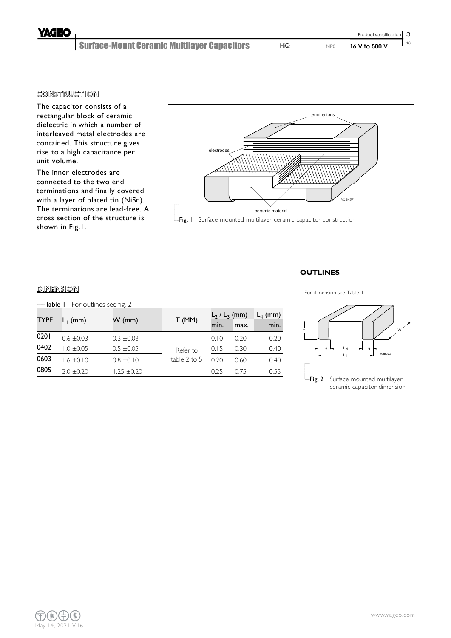**YAGEC** 

#### **CONSTRUCTION**

The capacitor consists of a rectangular block of ceramic dielectric in which a number of interleaved metal electrodes are contained. This structure gives rise to a high capacitance per unit volume.

The inner electrodes are connected to the two end terminations and finally covered with a layer of plated tin (NiSn). The terminations are lead-free. A cross section of the structure is shown in Fig.1.



#### **OUTLINES**

#### DIMENSION

| —Table I    |                | For outlines see fig. 2 |              |                    |            |      |
|-------------|----------------|-------------------------|--------------|--------------------|------------|------|
| <b>TYPE</b> | $L_1$ (mm)     | W (mm)                  | T(MM)        | $L_2$ / $L_3$ (mm) | $L_4$ (mm) |      |
|             |                |                         |              | min.               | max.       | min. |
| 0201        | $0.6 \pm 0.03$ | $0.3 \pm 0.03$          |              | 0.10               | 0.20       | 0.20 |
| 0402        | $1.0 \pm 0.05$ | $0.5 \pm 0.05$          | Refer to     | 0.15               | 0.30       | 0.40 |
| 0603        | $1.6 \pm 0.10$ | $0.8 \pm 0.10$          | table 2 to 5 | 0.20               | 0.60       | 0.40 |
| 0805        | $2.0 \pm 0.20$ | $1.25 \pm 0.20$         |              | 0.25               | 0.75       | 0.55 |

### *MBB211* T  $L_4$  $L_1$  $L_2$   $\longleftarrow$   $L_4$   $\longrightarrow$   $L_3$ W For dimension see Table 1 -Fig. 2 Surface mounted multilayer ceramic capacitor dimension

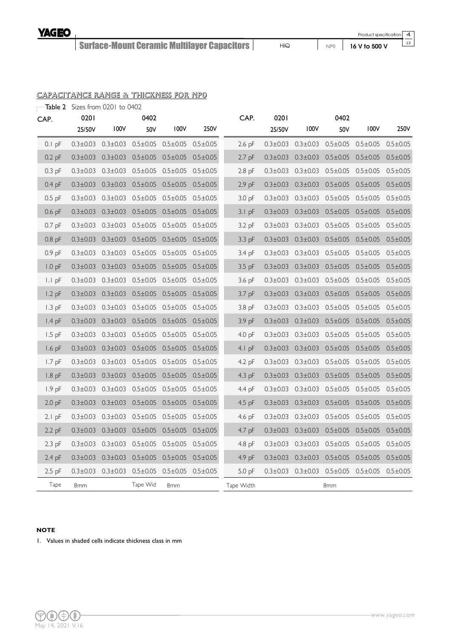Product specification 4

13

#### CAPACITANCE RANGE & THICKNESS FOR NP0

|  | $\blacksquare$ Table 2 Sizes from 0201 to 0402 |
|--|------------------------------------------------|
|--|------------------------------------------------|

| CAP.              | 0201           |                | 0402           |                                                                  |                | CAP.              | 0201           |                | 0402           |                                                                  |                |
|-------------------|----------------|----------------|----------------|------------------------------------------------------------------|----------------|-------------------|----------------|----------------|----------------|------------------------------------------------------------------|----------------|
|                   | 25/50V         | 100V           | 50V            | 100V                                                             | 250V           |                   | 25/50V         | 100V           | 50V            | 100V                                                             | 250V           |
| $0.1$ pF          |                |                |                | $0.3\pm0.03$ $0.3\pm0.03$ $0.5\pm0.05$ $0.5\pm0.05$ $0.5\pm0.05$ |                | $2.6$ pF          |                |                |                | $0.3\pm0.03$ $0.3\pm0.03$ $0.5\pm0.05$ $0.5\pm0.05$ $0.5\pm0.05$ |                |
| $0.2$ pF          | $0.3 \pm 0.03$ | $0.3 \pm 0.03$ | $0.5 \pm 0.05$ | $0.5 \pm 0.05$                                                   | $0.5 \pm 0.05$ | 2.7 pF            | $0.3 \pm 0.03$ | $0.3 \pm 0.03$ | $0.5 \pm 0.05$ | $0.5 \pm 0.05$                                                   | $0.5 \pm 0.05$ |
| $0.3$ pF          | $0.3 \pm 0.03$ | $0.3 \pm 0.03$ | $0.5 \pm 0.05$ | $0.5 \pm 0.05$                                                   | $0.5 \pm 0.05$ | $2.8$ pF          | $0.3 \pm 0.03$ | $0.3 \pm 0.03$ | $0.5 \pm 0.05$ | $0.5 \pm 0.05$                                                   | $0.5 \pm 0.05$ |
| $0.4$ pF          | $0.3 \pm 0.03$ | $0.3 \pm 0.03$ | $0.5 \pm 0.05$ | $0.5 \pm 0.05$                                                   | $0.5 \pm 0.05$ | $2.9$ pF          | $0.3 \pm 0.03$ | $0.3 \pm 0.03$ | $0.5 \pm 0.05$ | $0.5 \pm 0.05$                                                   | $0.5 \pm 0.05$ |
| $0.5$ pF          | $0.3 \pm 0.03$ | $0.3 \pm 0.03$ | $0.5 \pm 0.05$ | $0.5 \pm 0.05$                                                   | $0.5 \pm 0.05$ | 3.0 <sub>pF</sub> | $0.3 \pm 0.03$ | $0.3 \pm 0.03$ | $0.5 \pm 0.05$ | $0.5 \pm 0.05$                                                   | $0.5 \pm 0.05$ |
| $0.6$ pF          | $0.3 \pm 0.03$ | $0.3 \pm 0.03$ | $0.5 \pm 0.05$ | $0.5 \pm 0.05$                                                   | $0.5 \pm 0.05$ | $3.1$ pF          | $0.3 \pm 0.03$ | $0.3 \pm 0.03$ | $0.5 \pm 0.05$ | $0.5 \pm 0.05$                                                   | $0.5 \pm 0.05$ |
| $0.7$ pF          | $0.3 \pm 0.03$ | $0.3 \pm 0.03$ | $0.5 \pm 0.05$ | $0.5 \pm 0.05$                                                   | $0.5 \pm 0.05$ | $3.2$ pF          | $0.3 \pm 0.03$ | $0.3 \pm 0.03$ | $0.5 \pm 0.05$ | $0.5 \pm 0.05$                                                   | $0.5 \pm 0.05$ |
| $0.8$ pF          | $0.3 \pm 0.03$ | $0.3 \pm 0.03$ | $0.5 \pm 0.05$ | $0.5 \pm 0.05$                                                   | $0.5 \pm 0.05$ | $3.3$ pF          | $0.3 \pm 0.03$ | $0.3 \pm 0.03$ | $0.5 \pm 0.05$ | $0.5 \pm 0.05$                                                   | $0.5 \pm 0.05$ |
| 0.9 <sub>pF</sub> | $0.3 \pm 0.03$ | $0.3 \pm 0.03$ | $0.5 \pm 0.05$ | $0.5 \pm 0.05$                                                   | $0.5 \pm 0.05$ | 3.4 pF            | $0.3 \pm 0.03$ | $0.3 \pm 0.03$ | $0.5 \pm 0.05$ | $0.5 \pm 0.05$                                                   | $0.5 \pm 0.05$ |
| 1.0 <sub>pF</sub> | $0.3 \pm 0.03$ | $0.3 \pm 0.03$ | $0.5 \pm 0.05$ | $0.5 \pm 0.05$                                                   | $0.5 \pm 0.05$ | $3.5$ pF          | $0.3 \pm 0.03$ | $0.3 \pm 0.03$ | $0.5 \pm 0.05$ | $0.5 \pm 0.05$                                                   | $0.5 \pm 0.05$ |
| $ I $ pF          | $0.3 \pm 0.03$ | $0.3 \pm 0.03$ | $0.5 \pm 0.05$ | $0.5 \pm 0.05$                                                   | $0.5 \pm 0.05$ | 3.6 <sub>pF</sub> | $0.3 \pm 0.03$ | $0.3 \pm 0.03$ | $0.5 \pm 0.05$ | $0.5 \pm 0.05$                                                   | $0.5 \pm 0.05$ |
| $1.2$ pF          | $0.3 \pm 0.03$ | $0.3 \pm 0.03$ | $0.5 \pm 0.05$ | $0.5 \pm 0.05$                                                   | $0.5 \pm 0.05$ | 3.7 pF            | $0.3 \pm 0.03$ | $0.3 \pm 0.03$ | $0.5 \pm 0.05$ | $0.5 \pm 0.05$                                                   | $0.5 \pm 0.05$ |
| $1.3$ pF          | $0.3 \pm 0.03$ | $0.3 \pm 0.03$ | $0.5 \pm 0.05$ | $0.5 \pm 0.05$                                                   | $0.5 \pm 0.05$ | 3.8 <sub>pF</sub> | $0.3 \pm 0.03$ | $0.3 \pm 0.03$ | $0.5 \pm 0.05$ | $0.5 \pm 0.05$                                                   | $0.5 \pm 0.05$ |
| $1.4$ pF          | $0.3 \pm 0.03$ | $0.3 \pm 0.03$ | $0.5 \pm 0.05$ | $0.5 \pm 0.05$                                                   | $0.5 \pm 0.05$ | 3.9 pF            | $0.3 \pm 0.03$ | $0.3 \pm 0.03$ | $0.5 \pm 0.05$ | $0.5 \pm 0.05$                                                   | $0.5 \pm 0.05$ |
| $1.5$ pF          | $0.3 \pm 0.03$ | $0.3 \pm 0.03$ | $0.5 \pm 0.05$ | $0.5 \pm 0.05$                                                   | $0.5 \pm 0.05$ | 4.0 <sub>pF</sub> | $0.3 \pm 0.03$ | $0.3 \pm 0.03$ | $0.5 \pm 0.05$ | $0.5 \pm 0.05$                                                   | $0.5 \pm 0.05$ |
| $1.6$ pF          | $0.3 \pm 0.03$ | $0.3 \pm 0.03$ | $0.5 \pm 0.05$ | $0.5 \pm 0.05$                                                   | $0.5 \pm 0.05$ | 4.1 $pF$          | $0.3 \pm 0.03$ | $0.3 \pm 0.03$ | $0.5 \pm 0.05$ | $0.5 \pm 0.05$                                                   | $0.5 \pm 0.05$ |
| $1.7$ pF          | $0.3 \pm 0.03$ | $0.3 \pm 0.03$ | $0.5 \pm 0.05$ | $0.5 \pm 0.05$                                                   | $0.5 \pm 0.05$ | 4.2 pF            | $0.3 \pm 0.03$ | $0.3 \pm 0.03$ | $0.5 \pm 0.05$ | $0.5 \pm 0.05$                                                   | $0.5 \pm 0.05$ |
| $1.8$ pF          | $0.3 \pm 0.03$ | $0.3 \pm 0.03$ | $0.5 \pm 0.05$ | $0.5 \pm 0.05$                                                   | $0.5 \pm 0.05$ | $4.3$ pF          | $0.3 \pm 0.03$ | $0.3 \pm 0.03$ | $0.5 \pm 0.05$ | $0.5 \pm 0.05$                                                   | $0.5 \pm 0.05$ |
| 1.9 <sub>pF</sub> | $0.3 \pm 0.03$ | $0.3 \pm 0.03$ | $0.5 \pm 0.05$ | $0.5 \pm 0.05$                                                   | $0.5 \pm 0.05$ | 4.4 pF            | $0.3 \pm 0.03$ | $0.3 \pm 0.03$ | $0.5 \pm 0.05$ | $0.5 \pm 0.05$                                                   | $0.5 \pm 0.05$ |
| 2.0 <sub>pF</sub> | $0.3 \pm 0.03$ | $0.3 \pm 0.03$ | $0.5 \pm 0.05$ | $0.5 \pm 0.05$                                                   | $0.5 \pm 0.05$ | 4.5 pF            | $0.3 \pm 0.03$ | $0.3 \pm 0.03$ | $0.5 \pm 0.05$ | $0.5 \pm 0.05$                                                   | $0.5 \pm 0.05$ |
| $2.1$ pF          | $0.3 \pm 0.03$ | $0.3 \pm 0.03$ | $0.5 \pm 0.05$ | $0.5 \pm 0.05$                                                   | $0.5 \pm 0.05$ | 4.6 pF            | $0.3 \pm 0.03$ | $0.3 \pm 0.03$ | $0.5 \pm 0.05$ | $0.5 \pm 0.05$                                                   | $0.5 \pm 0.05$ |
| $2.2$ pF          | $0.3 \pm 0.03$ | $0.3 \pm 0.03$ | $0.5 \pm 0.05$ | $0.5 \pm 0.05$                                                   | $0.5 \pm 0.05$ | $4.7$ pF          | $0.3 \pm 0.03$ | $0.3 \pm 0.03$ | $0.5 \pm 0.05$ | $0.5 \pm 0.05$                                                   | $0.5 \pm 0.05$ |
| $2.3$ pF          | $0.3 \pm 0.03$ | $0.3 \pm 0.03$ | $0.5 \pm 0.05$ | $0.5 \pm 0.05$                                                   | $0.5 \pm 0.05$ | 4.8 pF            | $0.3 \pm 0.03$ | $0.3 \pm 0.03$ | $0.5 \pm 0.05$ | $0.5 \pm 0.05$                                                   | $0.5 \pm 0.05$ |
| 2.4 pF            | $0.3 \pm 0.03$ | $0.3 \pm 0.03$ | $0.5 \pm 0.05$ | $0.5 \pm 0.05$                                                   | $0.5 \pm 0.05$ | 4.9 pF            | $0.3 \pm 0.03$ | $0.3 \pm 0.03$ | $0.5 \pm 0.05$ | $0.5 \pm 0.05$                                                   | $0.5 \pm 0.05$ |
| $2.5$ pF          | $0.3 \pm 0.03$ | $0.3 \pm 0.03$ |                | $0.5 \pm 0.05$ $0.5 \pm 0.05$                                    | $0.5 \pm 0.05$ | 5.0 <sub>pF</sub> | $0.3 \pm 0.03$ | $0.3 \pm 0.03$ | $0.5 \pm 0.05$ | $0.5 \pm 0.05$                                                   | $0.5 \pm 0.05$ |
| Tape              | 8mm            |                | Tape Wid       | 8 <sub>mm</sub>                                                  |                | Tape Width        |                |                | 8mm            |                                                                  |                |

#### **NOTE**

Width

1. Values in shaded cells indicate thickness class in mm

th

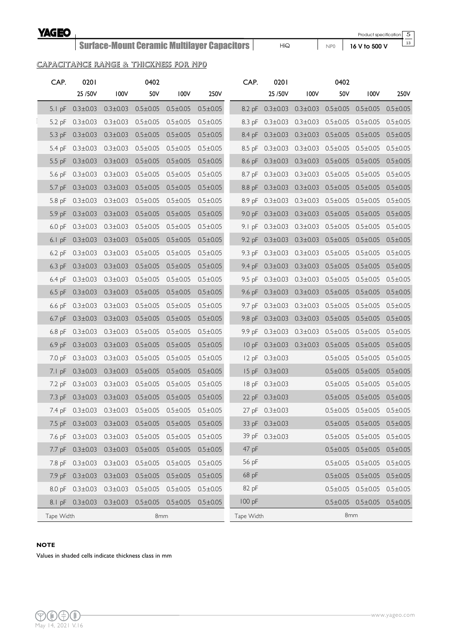#### **YAGEO**

## Surface-Mount Ceramic Multilayer Capacitors

Product specification

5  $\overline{13}$ 

HiQ NP0 **16 V to 500 V**

#### CAPACITANCE RANGE & THICKNESS FOR NP0

| CAP.               | 0201                                       |                | 0402                          |                |                | CAP.              | 0201                   |                                                                    | 0402           |                                              |                |
|--------------------|--------------------------------------------|----------------|-------------------------------|----------------|----------------|-------------------|------------------------|--------------------------------------------------------------------|----------------|----------------------------------------------|----------------|
|                    | 25/50V                                     | 100V           | 50V                           | 100V           | 250V           |                   | 25 / 50 V              | 100V                                                               | 50V            | 100V                                         | 250V           |
|                    | 5.1 pF $0.3 \pm 0.03$                      | $0.3 \pm 0.03$ | $0.5 \pm 0.05$                | $0.5 \pm 0.05$ | $0.5 \pm 0.05$ |                   |                        | 8.2 pF 0.3±0.03 0.3±0.03 0.5±0.05 0.5±0.05 0.5±0.05                |                |                                              |                |
| $5.2$ pF           | $0.3 \pm 0.03$                             | $0.3 \pm 0.03$ | $0.5 \pm 0.05$                | $0.5 \pm 0.05$ | $0.5 \pm 0.05$ | $8.3$ pF          |                        | $0.3\pm0.03$ $0.3\pm0.03$ $0.5\pm0.05$ $0.5\pm0.05$                |                |                                              | $0.5 \pm 0.05$ |
|                    | 5.3 pF $0.3 \pm 0.03$                      | $0.3 \pm 0.03$ | $0.5 \pm 0.05$                | $0.5 \pm 0.05$ | $0.5 \pm 0.05$ |                   |                        | 8.4 pF 0.3±0.03 0.3±0.03 0.5±0.05                                  |                | $0.5 \pm 0.05$                               | $0.5 \pm 0.05$ |
| $5.4$ pF           | $0.3 \pm 0.03$                             | $0.3 \pm 0.03$ | $0.5 \pm 0.05$                | $0.5 \pm 0.05$ | $0.5 \pm 0.05$ |                   |                        | 8.5 pF 0.3±0.03 0.3±0.03 0.5±0.05 0.5±0.05 0.5±0.05                |                |                                              |                |
|                    | 5.5 pF 0.3±0.03 0.3±0.03                   |                | $0.5 \pm 0.05$                | $0.5 \pm 0.05$ | $0.5 \pm 0.05$ |                   |                        | 8.6 pF 0.3±0.03 0.3±0.03 0.5±0.05 0.5±0.05 0.5±0.05                |                |                                              |                |
| 5.6 <sub>D</sub> F | $0.3 \pm 0.03$ $0.3 \pm 0.03$              |                | $0.5 \pm 0.05$                | $0.5 \pm 0.05$ | $0.5 \pm 0.05$ | 8.7 pF            |                        | $0.3\pm0.03$ $0.3\pm0.03$ $0.5\pm0.05$ $0.5\pm0.05$ $0.5\pm0.05$   |                |                                              |                |
| $5.7$ pF           | $0.3 \pm 0.03$ $0.3 \pm 0.03$              |                | $0.5 \pm 0.05$                | $0.5 \pm 0.05$ | $0.5 \pm 0.05$ | 8.8pF             |                        | $0.3\pm0.03$ $0.3\pm0.03$ $0.5\pm0.05$ $0.5\pm0.05$                |                |                                              | $0.5 \pm 0.05$ |
| $5.8$ pF           | $0.3 \pm 0.03$ $0.3 \pm 0.03$              |                | $0.5 \pm 0.05$                | $0.5 \pm 0.05$ | $0.5 \pm 0.05$ | 8.9 <sub>pF</sub> |                        | $0.3\pm0.03$ $0.3\pm0.03$ $0.5\pm0.05$ $0.5\pm0.05$ $0.5\pm0.05$   |                |                                              |                |
| $5.9$ pF           | $0.3 \pm 0.03$                             | $0.3 \pm 0.03$ | $0.5 \pm 0.05$                | $0.5 \pm 0.05$ | $0.5 \pm 0.05$ | 9.0 <sub>pF</sub> |                        | $0.3\pm0.03$ $0.3\pm0.03$ $0.5\pm0.05$ $0.5\pm0.05$                |                |                                              | $0.5 \pm 0.05$ |
| $6.0$ pF           | $0.3 \pm 0.03$ $0.3 \pm 0.03$              |                | $0.5 \pm 0.05$                | $0.5 \pm 0.05$ | $0.5 \pm 0.05$ | 9. I pF           |                        | $0.3\pm0.03$ $0.3\pm0.03$ $0.5\pm0.05$ $0.5\pm0.05$ $0.5\pm0.05$   |                |                                              |                |
| $6.1$ pF           | $0.3 \pm 0.03$                             | $0.3 \pm 0.03$ | $0.5 \pm 0.05$                | $0.5 \pm 0.05$ | $0.5 \pm 0.05$ | $9.2$ pF          | $0.3 \pm 0.03$         | $0.3 \pm 0.03$                                                     | $0.5 \pm 0.05$ | $0.5 \pm 0.05$                               | $0.5 \pm 0.05$ |
|                    | 6.2 pF $0.3 \pm 0.03$ $0.3 \pm 0.03$       |                | $0.5 \pm 0.05$                | $0.5 \pm 0.05$ | $0.5 \pm 0.05$ |                   |                        | 9.3 pF 0.3±0.03 0.3±0.03 0.5±0.05 0.5±0.05 0.5±0.05                |                |                                              |                |
| $6.3$ pF           | $0.3 \pm 0.03$                             | $0.3 \pm 0.03$ | $0.5 \pm 0.05$                | $0.5 \pm 0.05$ | $0.5 \pm 0.05$ | $9.4$ pF          |                        | $0.3\pm0.03$ $0.3\pm0.03$ $0.5\pm0.05$                             |                | $0.5 \pm 0.05$                               | $0.5 \pm 0.05$ |
|                    | 6.4 pF $0.3 \pm 0.03$ $0.3 \pm 0.03$       |                | $0.5 \pm 0.05$                | $0.5 \pm 0.05$ | $0.5 \pm 0.05$ |                   |                        | 9.5 pF 0.3±0.03 0.3±0.03 0.5±0.05 0.5±0.05 0.5±0.05                |                |                                              |                |
| $6.5$ pF           | $0.3 \pm 0.03$                             | $0.3 \pm 0.03$ | $0.5 \pm 0.05$                | $0.5 \pm 0.05$ | $0.5 \pm 0.05$ | $9.6$ pF          |                        | $0.3\pm0.03$ $0.3\pm0.03$ $0.5\pm0.05$ $0.5\pm0.05$                |                |                                              | $0.5 \pm 0.05$ |
| $6.6$ pF           | $0.3 \pm 0.03$ $0.3 \pm 0.03$              |                | $0.5 \pm 0.05$                | $0.5 \pm 0.05$ | $0.5 \pm 0.05$ |                   |                        | 9.7 pF $0.3 \pm 0.03$ $0.3 \pm 0.03$ $0.5 \pm 0.05$ $0.5 \pm 0.05$ |                |                                              | $0.5 \pm 0.05$ |
|                    | 6.7 pF $0.3 \pm 0.03$                      | $0.3 \pm 0.03$ | $0.5 \pm 0.05$                | $0.5 \pm 0.05$ | $0.5 \pm 0.05$ |                   |                        | 9.8 pF 0.3±0.03 0.3±0.03 0.5±0.05 0.5±0.05                         |                |                                              | $0.5 \pm 0.05$ |
| $6.8$ pF           | $0.3 \pm 0.03$                             | $0.3 \pm 0.03$ | $0.5 \pm 0.05$                | $0.5 \pm 0.05$ | $0.5 \pm 0.05$ |                   |                        | 9.9 pF 0.3±0.03 0.3±0.03 0.5±0.05 0.5±0.05                         |                |                                              | $0.5 \pm 0.05$ |
| $6.9$ pF           | $0.3 \pm 0.03$                             | $0.3 \pm 0.03$ | $0.5 \pm 0.05$                | $0.5 \pm 0.05$ | $0.5 \pm 0.05$ |                   |                        | IO pF 0.3±0.03 0.3±0.03 0.5±0.05 0.5±0.05                          |                |                                              | $0.5 \pm 0.05$ |
| $7.0 \text{ pF}$   | $0.3 \pm 0.03$                             | $0.3 \pm 0.03$ | $0.5 \pm 0.05$                | $0.5 \pm 0.05$ | $0.5 \pm 0.05$ |                   | 12 pF 0.3±0.03         |                                                                    |                | $0.5 \pm 0.05$ $0.5 \pm 0.05$                | $0.5 \pm 0.05$ |
| $7.1$ pF           | $0.3 \pm 0.03$                             | $0.3 \pm 0.03$ | $0.5 \pm 0.05$                | $0.5 \pm 0.05$ | $0.5 \pm 0.05$ |                   | 15 pF $0.3 \pm 0.03$   |                                                                    |                | $0.5 \pm 0.05$ $0.5 \pm 0.05$ $0.5 \pm 0.05$ |                |
| $7.2$ pF           | $0.3 \pm 0.03$ $0.3 \pm 0.03$              |                | $0.5 \pm 0.05$                | $0.5 \pm 0.05$ | $0.5 \pm 0.05$ |                   | $18$ pF $0.3 \pm 0.03$ |                                                                    |                | $0.5 \pm 0.05$ $0.5 \pm 0.05$ $0.5 \pm 0.05$ |                |
|                    | 7.3 pF 0.3±0.03 0.3±0.03                   |                | $0.5 \pm 0.05$                | $0.5 \pm 0.05$ | $0.5 \pm 0.05$ |                   | 22 pF $0.3 \pm 0.03$   |                                                                    |                | $0.5 \pm 0.05$ $0.5 \pm 0.05$ $0.5 \pm 0.05$ |                |
|                    | 7.4 pF $0.3 \pm 0.03$                      | $0.3 \pm 0.03$ | $0.5 \pm 0.05$                | $0.5 \pm 0.05$ | $0.5 \pm 0.05$ |                   | 27 pF 0.3±0.03         |                                                                    |                | $0.5 \pm 0.05$ $0.5 \pm 0.05$ $0.5 \pm 0.05$ |                |
|                    | 7.5 pF $0.3 \pm 0.03$ $0.3 \pm 0.03$       |                | $0.5 \pm 0.05$ $0.5 \pm 0.05$ |                | $0.5 \pm 0.05$ |                   | 33 pF 0.3±0.03         |                                                                    |                | $0.5 \pm 0.05$ $0.5 \pm 0.05$ $0.5 \pm 0.05$ |                |
|                    | 7.6 pF 0.3±0.03 0.3±0.03                   |                | $0.5 \pm 0.05$                | $0.5 \pm 0.05$ | $0.5 \pm 0.05$ |                   | 39 pF 0.3±0.03         |                                                                    |                | $0.5 \pm 0.05$ $0.5 \pm 0.05$ $0.5 \pm 0.05$ |                |
|                    | 7.7 pF 0.3±0.03 0.3±0.03                   |                | $0.5 \pm 0.05$                | $0.5 \pm 0.05$ | $0.5 \pm 0.05$ | 47 pF             |                        |                                                                    |                | $0.5 \pm 0.05$ $0.5 \pm 0.05$ $0.5 \pm 0.05$ |                |
|                    | 7.8 pF 0.3±0.03                            | $0.3 \pm 0.03$ | $0.5 \pm 0.05$                | $0.5 \pm 0.05$ | $0.5 \pm 0.05$ | 56 pF             |                        |                                                                    |                | $0.5 \pm 0.05$ $0.5 \pm 0.05$                | $0.5 \pm 0.05$ |
|                    | 7.9 pF 0.3±0.03 0.3±0.03                   |                | $0.5 \pm 0.05$                | $0.5 \pm 0.05$ | $0.5 \pm 0.05$ | 68 pF             |                        |                                                                    |                | $0.5 \pm 0.05$ $0.5 \pm 0.05$ $0.5 \pm 0.05$ |                |
|                    | 8.0 pF 0.3±0.03 0.3±0.03                   |                | $0.5 \pm 0.05$                | $0.5 \pm 0.05$ | $0.5 \pm 0.05$ | 82 pF             |                        |                                                                    |                | $0.5 \pm 0.05$ $0.5 \pm 0.05$ $0.5 \pm 0.05$ |                |
|                    | 8.1 pF 0.3±0.03 0.3±0.03 0.5±0.05 0.5±0.05 |                |                               |                | $0.5 \pm 0.05$ | 100 pF            |                        |                                                                    |                | $0.5 \pm 0.05$ $0.5 \pm 0.05$ $0.5 \pm 0.05$ |                |
| Tape Width         |                                            |                | 8mm                           |                |                | Tape Width        |                        |                                                                    | 8mm            |                                              |                |

#### **NOTE**

Values in shaded cells indicate thickness class in mm

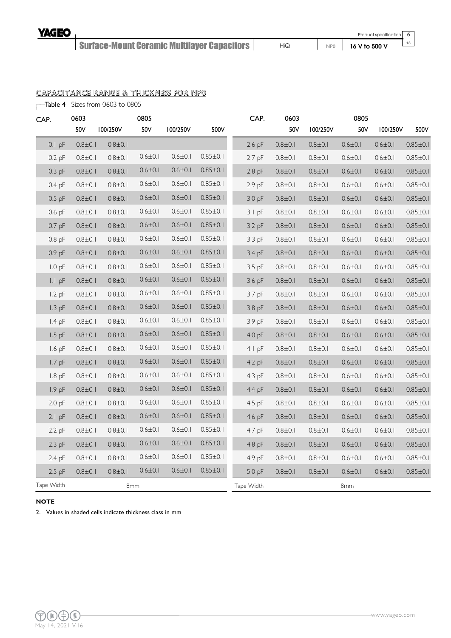HiQ NP0 **16 V to 500 V**

6 13

#### CAPACITANCE RANGE & THICKNESS FOR NP0

Table 4 Sizes from 0603 to 0805

| CAP. |            | 0603          |               | 0805          |               |                | CAP.              | 0603          |               | 0805          |               |                |
|------|------------|---------------|---------------|---------------|---------------|----------------|-------------------|---------------|---------------|---------------|---------------|----------------|
|      |            | 50V           | 100/250V      | 50V           | 100/250V      | 500V           |                   | 50V           | 100/250V      | 50V           | 100/250V      | 500V           |
|      | $0.1$ pF   | $0.8 + 0.1$   | $0.8 + 0.1$   |               |               |                | $2.6$ pF          | $0.8 + 0.1$   | $0.8 \pm 0.1$ | $0.6 \pm 0.1$ | $0.6 \pm 0.1$ | $0.85 \pm 0.1$ |
|      | $0.2$ pF   | $0.8 + 0.1$   | $0.8 + 0.1$   | $0.6 \pm 0.1$ | $0.6 \pm 0.1$ | $0.85 \pm 0.1$ | $2.7$ pF          | $0.8 \pm 0.1$ | $0.8 \pm 0.1$ | $0.6 \pm 0.1$ | $0.6 \pm 0.1$ | $0.85 \pm 0.1$ |
|      | $0.3$ pF   | $0.8 + 0.1$   | $0.8 + 0.1$   | $0.6 \pm 0.1$ | $0.6 \pm 0.1$ | $0.85 \pm 0.1$ | $2.8$ pF          | $0.8 \pm 0.1$ | $0.8 + 0.1$   | $0.6 \pm 0.1$ | $0.6 \pm 0.1$ | $0.85 \pm 0.1$ |
|      | $0.4$ pF   | $0.8 \pm 0.1$ | $0.8 + 0.1$   | $0.6 \pm 0.1$ | $0.6 \pm 0.1$ | $0.85 \pm 0.1$ | $2.9$ pF          | $0.8 \pm 0.1$ | $0.8 \pm 0.1$ | $0.6 \pm 0.1$ | $0.6 \pm 0.1$ | $0.85 \pm 0.1$ |
|      | $0.5$ pF   | $0.8 \pm 0.1$ | $0.8 + 0.1$   | $0.6 \pm 0.1$ | $0.6 \pm 0.1$ | $0.85 \pm 0.1$ | 3.0 <sub>pF</sub> | $0.8 \pm 0.1$ | $0.8 \pm 0.1$ | $0.6 \pm 0.1$ | $0.6 \pm 0.1$ | $0.85 \pm 0.1$ |
|      | $0.6$ pF   | $0.8 + 0.1$   | $0.8 + 0.1$   | $0.6 \pm 0.1$ | $0.6 \pm 0.1$ | $0.85 \pm 0.1$ | $3.1$ pF          | $0.8 \pm 0.1$ | $0.8 \pm 0.1$ | $0.6 \pm 0.1$ | $0.6 \pm 0.1$ | $0.85 \pm 0.1$ |
|      | $0.7$ pF   | $0.8 + 0.1$   | $0.8 + 0.1$   | $0.6 \pm 0.1$ | $0.6 \pm 0.1$ | $0.85 \pm 0.1$ | 3.2 pF            | $0.8 \pm 0.1$ | $0.8 + 0.1$   | $0.6 \pm 0.1$ | $0.6 \pm 0.1$ | $0.85 \pm 0.1$ |
|      | $0.8$ pF   | $0.8 + 0.1$   | $0.8 \pm 0.1$ | $0.6 \pm 0.1$ | $0.6 \pm 0.1$ | $0.85 \pm 0.1$ | $3.3$ pF          | $0.8 \pm 0.1$ | $0.8 + 0.1$   | $0.6 \pm 0.1$ | $0.6 \pm 0.1$ | $0.85 \pm 0.1$ |
|      | $0.9$ pF   | $0.8 + 0.1$   | $0.8 + 0.1$   | $0.6 \pm 0.1$ | $0.6 \pm 0.1$ | $0.85 \pm 0.1$ | 3.4 pF            | $0.8 \pm 0.1$ | $0.8 \pm 0.1$ | $0.6 \pm 0.1$ | $0.6 \pm 0.1$ | $0.85 \pm 0.1$ |
|      | $1.0$ pF   | $0.8 + 0.1$   | $0.8 \pm 0.1$ | $0.6 \pm 0.1$ | $0.6 \pm 0.1$ | $0.85 \pm 0.1$ | $3.5$ pF          | $0.8 + 0.1$   | $0.8 + 0.1$   | $0.6 \pm 0.1$ | $0.6 \pm 0.1$ | $0.85 \pm 0.1$ |
|      | $I.I$ pF   | $0.8 + 0.1$   | $0.8 + 0.1$   | $0.6 \pm 0.1$ | $0.6 \pm 0.1$ | $0.85 \pm 0.1$ | 3.6 pF            | $0.8 + 0.1$   | $0.8 + 0.1$   | $0.6 \pm 0.1$ | $0.6 \pm 0.1$ | $0.85 \pm 0.1$ |
|      | $1.2$ pF   | $0.8 \pm 0.1$ | $0.8 \pm 0.1$ | $0.6 \pm 0.1$ | $0.6 \pm 0.1$ | $0.85 \pm 0.1$ | $3.7$ pF          | $0.8 \pm 0.1$ | $0.8 \pm 0.1$ | $0.6 \pm 0.1$ | $0.6 \pm 0.1$ | $0.85 \pm 0.1$ |
|      | $1.3$ pF   | $0.8 + 0.1$   | $0.8 + 0.1$   | $0.6 \pm 0.1$ | $0.6 \pm 0.1$ | $0.85 \pm 0.1$ | 3.8 pF            | $0.8 \pm 0.1$ | $0.8 \pm 0.1$ | $0.6 \pm 0.1$ | $0.6 \pm 0.1$ | $0.85 \pm 0.1$ |
|      | $1.4$ pF   | $0.8 + 0.1$   | $0.8 \pm 0.1$ | $0.6 \pm 0.1$ | $0.6 \pm 0.1$ | $0.85 \pm 0.1$ | 3.9 <sub>pF</sub> | $0.8 + 0.1$   | $0.8 + 0.1$   | $0.6 \pm 0.1$ | $0.6 \pm 0.1$ | $0.85 \pm 0.1$ |
|      | $1.5$ pF   | $0.8 + 0.1$   | $0.8 + 0.1$   | $0.6 \pm 0.1$ | $0.6 \pm 0.1$ | $0.85 \pm 0.1$ | 4.0 <sub>pF</sub> | $0.8 + 0.1$   | $0.8 + 0.1$   | $0.6 \pm 0.1$ | $0.6 \pm 0.1$ | $0.85 \pm 0.1$ |
|      | $1.6$ pF   | $0.8 \pm 0.1$ | $0.8 + 0.1$   | $0.6 \pm 0.1$ | $0.6 \pm 0.1$ | $0.85 \pm 0.1$ | $4.1$ pF          | $0.8 \pm 0.1$ | $0.8 \pm 0.1$ | $0.6 \pm 0.1$ | $0.6 \pm 0.1$ | $0.85 \pm 0.1$ |
|      | $1.7$ pF   | $0.8 + 0.1$   | $0.8 + 0.1$   | $0.6 \pm 0.1$ | $0.6 \pm 0.1$ | $0.85 \pm 0.1$ | 4.2 pF            | $0.8 \pm 0.1$ | $0.8 \pm 0.1$ | $0.6 \pm 0.1$ | $0.6 \pm 0.1$ | $0.85 \pm 0.1$ |
|      | $1.8$ pF   | $0.8 + 0.1$   | $0.8 \pm 0.1$ | $0.6 \pm 0.1$ | $0.6 \pm 0.1$ | $0.85 \pm 0.1$ | $4.3$ pF          | $0.8 + 0.1$   | $0.8 + 0.1$   | $0.6 \pm 0.1$ | $0.6 \pm 0.1$ | $0.85 \pm 0.1$ |
|      | $1.9$ pF   | $0.8 \pm 0.1$ | $0.8 \pm 0.1$ | $0.6 \pm 0.1$ | $0.6 \pm 0.1$ | $0.85 \pm 0.1$ | $4.4$ pF          | $0.8 \pm 0.1$ | $0.8 \pm 0.1$ | $0.6 \pm 0.1$ | $0.6 \pm 0.1$ | $0.85 \pm 0.1$ |
|      | $2.0$ pF   | $0.8 \pm 0.1$ | $0.8 + 0.1$   | $0.6 \pm 0.1$ | $0.6 \pm 0.1$ | $0.85 \pm 0.1$ | 4.5 pF            | $0.8 \pm 0.1$ | $0.8 \pm 0.1$ | $0.6 \pm 0.1$ | $0.6 \pm 0.1$ | $0.85 \pm 0.1$ |
|      | $2.1$ pF   | $0.8 \pm 0.1$ | $0.8 + 0.1$   | $0.6 \pm 0.1$ | $0.6 \pm 0.1$ | $0.85 \pm 0.1$ | 4.6 pF            | $0.8 \pm 0.1$ | $0.8 \pm 0.1$ | $0.6 \pm 0.1$ | $0.6 \pm 0.1$ | $0.85 \pm 0.1$ |
|      | $2.2$ pF   | $0.8 + 0.1$   | $0.8 + 0.1$   | $0.6 \pm 0.1$ | $0.6 \pm 0.1$ | $0.85 \pm 0.1$ | $4.7$ pF          | $0.8 + 0.1$   | $0.8 + 0.1$   | $0.6 \pm 0.1$ | $0.6 \pm 0.1$ | $0.85 \pm 0.1$ |
|      | $2.3$ pF   | $0.8 \pm 0.1$ | $0.8 + 0.1$   | $0.6 \pm 0.1$ | $0.6 \pm 0.1$ | $0.85 \pm 0.1$ | $4.8$ pF          | $0.8 \pm 0.1$ | $0.8 \pm 0.1$ | $0.6 \pm 0.1$ | $0.6 \pm 0.1$ | $0.85 \pm 0.1$ |
|      | $2.4$ pF   | $0.8 + 0.1$   | $0.8 + 0.1$   | $0.6 \pm 0.1$ | $0.6 \pm 0.1$ | $0.85 \pm 0.1$ | 4.9 pF            | $0.8 \pm 0.1$ | $0.8 \pm 0.1$ | $0.6 \pm 0.1$ | $0.6 \pm 0.1$ | $0.85 \pm 0.1$ |
|      | $2.5$ pF   | $0.8 + 0.1$   | $0.8 + 0.1$   | $0.6 \pm 0.1$ | $0.6 \pm 0.1$ | $0.85 \pm 0.1$ | 5.0 pF            | $0.8 + 0.1$   | $0.8 + 0.1$   | $0.6 \pm 0.1$ | $0.6 \pm 0.1$ | $0.85 \pm 0.1$ |
|      | Tape Width |               |               | 8mm           |               |                | Tape Width        |               |               | 8mm           |               |                |

#### **NOTE**

2. Values in shaded cells indicate thickness class in mm

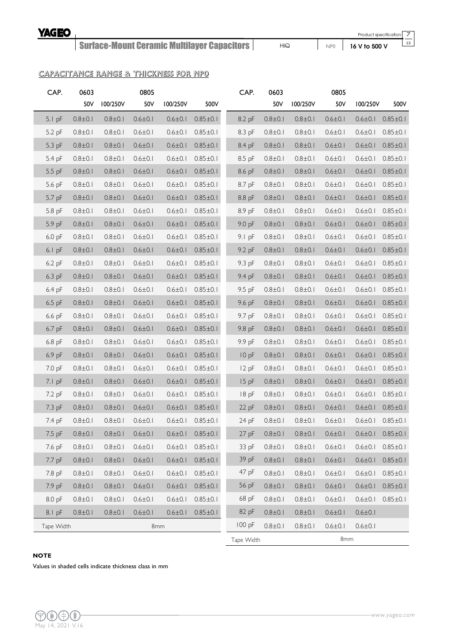HiQ NP0 **16 V to 500 V**

Product specification 7  $\overline{13}$ 

#### CAPACITANCE RANGE & THICKNESS FOR NP0

| CAP.       | 0603          |               | 0805          |               |                | CAP.       | 0603          |               | 0805          |               |                |
|------------|---------------|---------------|---------------|---------------|----------------|------------|---------------|---------------|---------------|---------------|----------------|
|            | 50V           | 100/250V      | 50V           | 100/250V      | 500V           |            | 50V           | 100/250V      | 50V           | 100/250V      | 500V           |
| $5.1$ pF   | $0.8 \pm 0.1$ | $0.8 + 0.1$   | $0.6 \pm 0.1$ | $0.6 \pm 0.1$ | $0.85 \pm 0.1$ | 8.2 pF     | $0.8 + 0.1$   | $0.8 \pm 0.1$ | $0.6 \pm 0.1$ | $0.6 \pm 0.1$ | $0.85 \pm 0.1$ |
| 5.2 pF     | $0.8 \pm 0.1$ | $0.8 \pm 0.1$ | $0.6 \pm 0.1$ | $0.6 \pm 0.1$ | $0.85 \pm 0.1$ | 8.3 pF     | $0.8 + 0.1$   | $0.8 \pm 0.1$ | $0.6 \pm 0.1$ | $0.6 \pm 0.1$ | $0.85 \pm 0.1$ |
| 5.3 pF     | $0.8 \pm 0.1$ | $0.8 \pm 0.1$ | $0.6 \pm 0.1$ | $0.6 \pm 0.1$ | $0.85 \pm 0.1$ | 8.4 pF     | $0.8 \pm 0.1$ | $0.8 \pm 0.1$ | $0.6 \pm 0.1$ | $0.6 \pm 0.1$ | $0.85 \pm 0.1$ |
| 5.4 pF     | $0.8 + 0.1$   | $0.8 + 0.1$   | $0.6 \pm 0.1$ | $0.6 \pm 0.1$ | $0.85 \pm 0.1$ | 8.5 pF     | $0.8 + 0.1$   | $0.8 + 0.1$   | $0.6 \pm 0.1$ | $0.6 \pm 0.1$ | $0.85 \pm 0.1$ |
| 5.5 pF     | $0.8 \pm 0.1$ | $0.8 \pm 0.1$ | $0.6 \pm 0.1$ | $0.6 \pm 0.1$ | $0.85 \pm 0.1$ | 8.6 pF     | $0.8 + 0.1$   | $0.8 \pm 0.1$ | $0.6 \pm 0.1$ | $0.6 \pm 0.1$ | $0.85 \pm 0.1$ |
| 5.6 pF     | $0.8 + 0.1$   | $0.8 + 0.1$   | $0.6 \pm 0.1$ | $0.6 \pm 0.1$ | $0.85 \pm 0.1$ | 8.7 pF     | $0.8 + 0.1$   | $0.8 + 0.1$   | $0.6 \pm 0.1$ | $0.6 \pm 0.1$ | $0.85 \pm 0.1$ |
| 5.7 pF     | $0.8 \pm 0.1$ | $0.8 \pm 0.1$ | $0.6 \pm 0.1$ | $0.6 \pm 0.1$ | $0.85 \pm 0.1$ | 8.8 pF     | $0.8 \pm 0.1$ | $0.8 \pm 0.1$ | $0.6 \pm 0.1$ | $0.6 \pm 0.1$ | $0.85 \pm 0.1$ |
| 5.8 pF     | $0.8 \pm 0.1$ | $0.8 + 0.1$   | $0.6 \pm 0.1$ | $0.6 \pm 0.1$ | $0.85 \pm 0.1$ | 8.9 pF     | $0.8 + 0.1$   | $0.8 + 0.1$   | $0.6 \pm 0.1$ | $0.6 \pm 0.1$ | $0.85 \pm 0.1$ |
| 5.9 pF     | $0.8 \pm 0.1$ | $0.8 + 0.1$   | $0.6 \pm 0.1$ | $0.6 \pm 0.1$ | $0.85 \pm 0.1$ | 9.0 pF     | $0.8 \pm 0.1$ | $0.8 \pm 0.1$ | $0.6 \pm 0.1$ | $0.6 \pm 0.1$ | $0.85 \pm 0.1$ |
| $6.0$ pF   | $0.8 + 0.1$   | $0.8 + 0.1$   | $0.6 \pm 0.1$ | $0.6 \pm 0.1$ | $0.85 \pm 0.1$ | $9.1$ pF   | $0.8 + 0.1$   | $0.8 + 0.1$   | $0.6 \pm 0.1$ | $0.6 \pm 0.1$ | $0.85 \pm 0.1$ |
| $6.1$ pF   | $0.8 \pm 0.1$ | $0.8 \pm 0.1$ | $0.6 \pm 0.1$ | $0.6 \pm 0.1$ | $0.85 \pm 0.1$ | 9.2 pF     | $0.8 \pm 0.1$ | $0.8 \pm 0.1$ | $0.6 \pm 0.1$ | $0.6 \pm 0.1$ | $0.85 \pm 0.1$ |
| 6.2 pF     | $0.8 + 0.1$   | $0.8 + 0.1$   | $0.6 \pm 0.1$ | $0.6 \pm 0.1$ | $0.85 \pm 0.1$ | 9.3 pF     | $0.8 + 0.1$   | $0.8 + 0.1$   | $0.6 \pm 0.1$ | $0.6 \pm 0.1$ | $0.85 \pm 0.1$ |
| $6.3$ pF   | $0.8 + 0.1$   | $0.8 \pm 0.1$ | $0.6 \pm 0.1$ | $0.6 \pm 0.1$ | $0.85 \pm 0.1$ | 9.4 pF     | $0.8 + 0.1$   | $0.8 \pm 0.1$ | $0.6 \pm 0.1$ | $0.6 \pm 0.1$ | $0.85 \pm 0.1$ |
| 6.4 pF     | $0.8 + 0.1$   | $0.8 + 0.1$   | $0.6 \pm 0.1$ | $0.6 \pm 0.1$ | $0.85 \pm 0.1$ | 9.5 pF     | $0.8 + 0.1$   | $0.8 + 0.1$   | $0.6 \pm 0.1$ | $0.6 \pm 0.1$ | $0.85 \pm 0.1$ |
| 6.5 pF     | $0.8 + 0.1$   | $0.8 + 0.1$   | $0.6 \pm 0.1$ | $0.6 \pm 0.1$ | $0.85 \pm 0.1$ | 9.6 pF     | $0.8 + 0.1$   | $0.8 + 0.1$   | $0.6 \pm 0.1$ | $0.6 \pm 0.1$ | $0.85 \pm 0.1$ |
| $6.6$ pF   | $0.8 \pm 0.1$ | $0.8 \pm 0.1$ | $0.6 \pm 0.1$ | $0.6 \pm 0.1$ | $0.85 \pm 0.1$ | 9.7 pF     | $0.8 \pm 0.1$ | $0.8 + 0.1$   | $0.6 \pm 0.1$ | $0.6 \pm 0.1$ | $0.85 \pm 0.1$ |
| 6.7 pF     | $0.8 + 0.1$   | $0.8 + 0.1$   | $0.6 \pm 0.1$ | $0.6 \pm 0.1$ | $0.85 \pm 0.1$ | 9.8 pF     | $0.8 + 0.1$   | $0.8 + 0.1$   | $0.6 \pm 0.1$ | $0.6 \pm 0.1$ | $0.85 \pm 0.1$ |
| 6.8 pF     | $0.8 + 0.1$   | $0.8 + 0.1$   | $0.6 \pm 0.1$ | $0.6 \pm 0.1$ | $0.85 \pm 0.1$ | 9.9 pF     | $0.8 + 0.1$   | $0.8 + 0.1$   | $0.6 \pm 0.1$ | $0.6 \pm 0.1$ | $0.85 \pm 0.1$ |
| 6.9 pF     | $0.8 + 0.1$   | $0.8 + 0.1$   | $0.6 \pm 0.1$ | $0.6 \pm 0.1$ | $0.85 \pm 0.1$ | 10pF       | $0.8 \pm 0.1$ | $0.8 \pm 0.1$ | $0.6 \pm 0.1$ | $0.6 \pm 0.1$ | $0.85 \pm 0.1$ |
| 7.0 pF     | $0.8 \pm 0.1$ | $0.8 \pm 0.1$ | $0.6 \pm 0.1$ | $0.6 \pm 0.1$ | $0.85 \pm 0.1$ | $12$ pF    | $0.8 + 0.1$   | $0.8 + 0.1$   | $0.6 \pm 0.1$ | $0.6 \pm 0.1$ | $0.85 \pm 0.1$ |
| $7.1$ pF   | $0.8 + 0.1$   | $0.8 + 0.1$   | $0.6 \pm 0.1$ | $0.6 \pm 0.1$ | $0.85 \pm 0.1$ | $15$ pF    | $0.8 + 0.1$   | $0.8 + 0.1$   | $0.6 \pm 0.1$ | $0.6 \pm 0.1$ | $0.85 \pm 0.1$ |
| 7.2 pF     | $0.8 \pm 0.1$ | $0.8 \pm 0.1$ | $0.6 \pm 0.1$ | $0.6 \pm 0.1$ | $0.85 \pm 0.1$ | 18pF       | $0.8 \pm 0.1$ | $0.8 \pm 0.1$ | $0.6 \pm 0.1$ | $0.6 \pm 0.1$ | $0.85 \pm 0.1$ |
| 7.3 pF     | $0.8 + 0.1$   | $0.8 + 0.1$   | $0.6 \pm 0.1$ | $0.6 \pm 0.1$ | $0.85 \pm 0.1$ | $22$ pF    | $0.8 + 0.1$   | $0.8 + 0.1$   | $0.6 \pm 0.1$ | $0.6 \pm 0.1$ | $0.85 \pm 0.1$ |
| 7.4 pF     | $0.8 \pm 0.1$ | $0.8 + 0.1$   | $0.6 \pm 0.1$ | $0.6 \pm 0.1$ | $0.85 \pm 0.1$ | 24pF       | $0.8 + 0.1$   | $0.8 + 0.1$   | $0.6 \pm 0.1$ | $0.6 \pm 0.1$ | $0.85 \pm 0.1$ |
| 7.5 pF     | $0.8 + 0.1$   | $0.8 + 0.1$   | $0.6 \pm 0.1$ | $0.6 \pm 0.1$ | $0.85 \pm 0.1$ | $27$ pF    | $0.8 + 0.1$   | $0.8 \pm 0.1$ | $0.6 \pm 0.1$ | $0.6 \pm 0.1$ | $0.85 \pm 0.1$ |
| 7.6 pF     | $0.8 + 0.1$   | $0.8 + 0.1$   | $0.6 \pm 0.1$ | $0.6 \pm 0.1$ | $0.85 \pm 0.1$ | 33 pF      | $0.8 + 0.1$   | $0.8 + 0.1$   | $0.6 \pm 0.1$ | $0.6 \pm 0.1$ | $0.85 \pm 0.1$ |
| 7.7 pF     | $0.8 + 0.1$   | $0.8 + 0.1$   | $0.6 \pm 0.1$ | $0.6 \pm 0.1$ | $0.85 \pm 0.1$ | 39 pF      | $0.8 + 0.1$   | $0.8 + 0.1$   | $0.6 \pm 0.1$ | $0.6 \pm 0.1$ | $0.85 \pm 0.1$ |
| 7.8 pF     | $0.8 + 0.1$   | $0.8 + 0.1$   | $0.6 \pm 0.1$ | $0.6 \pm 0.1$ | $0.85 \pm 0.1$ | 47 pF      | $0.8 + 0.1$   | $0.8 + 0.1$   | $0.6 \pm 0.1$ | $0.6 \pm 0.1$ | $0.85 \pm 0.1$ |
| 7.9 pF     | $0.8 \pm 0.1$ | $0.8 + 0.1$   | $0.6 \pm 0.1$ | $0.6 \pm 0.1$ | $0.85 \pm 0.1$ | 56 pF      | $0.8 + 0.1$   | $0.8 + 0.1$   | $0.6 \pm 0.1$ | $0.6 \pm 0.1$ | $0.85 \pm 0.1$ |
| 8.0 pF     | $0.8 \pm 0.1$ | $0.8 + 0.1$   | $0.6 \pm 0.1$ | $0.6 \pm 0.1$ | $0.85 \pm 0.1$ | 68 pF      | $0.8 + 0.1$   | $0.8 + 0.1$   | $0.6 \pm 0.1$ | $0.6 \pm 0.1$ | $0.85 \pm 0.1$ |
| 8.1 pF     | $0.8 + 0.1$   | $0.8 + 0.1$   | $0.6 \pm 0.1$ | $0.6 \pm 0.1$ | $0.85 \pm 0.1$ | 82 pF      | $0.8 + 0.1$   | $0.8 + 0.1$   | $0.6 \pm 0.1$ | $0.6 \pm 0.1$ |                |
| Tape Width |               |               | 8mm           |               |                | 100 pF     | $0.8 + 0.1$   | $0.8 + 0.1$   | $0.6 \pm 0.1$ | $0.6 \pm 0.1$ |                |
|            |               |               |               |               |                | Tape Width |               |               | 8mm           |               |                |

#### **NOTE**

Values in shaded cells indicate thickness class in mm

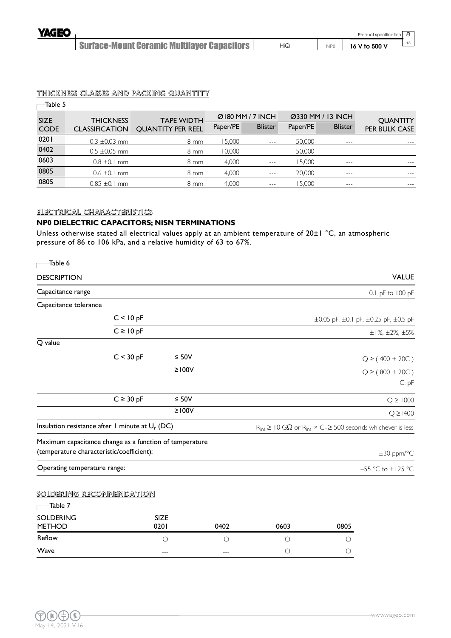

#### THICKNESS CLASSES AND PACKING QUANTITY

| — Table 5                  |                                           |                                               |          |                                    |          |                                     |                                  |
|----------------------------|-------------------------------------------|-----------------------------------------------|----------|------------------------------------|----------|-------------------------------------|----------------------------------|
| <b>SIZE</b><br><b>CODE</b> | <b>THICKNESS</b><br><b>CLASSIFICATION</b> | <b>TAPE WIDTH</b><br><b>OUANTITY PER REEL</b> | Paper/PE | Ø180 MM / 7 INCH<br><b>Blister</b> | Paper/PE | Ø330 MM / 13 INCH<br><b>Blister</b> | <b>QUANTITY</b><br>PER BULK CASE |
| 0201                       | $0.3 \pm 0.03$ mm                         | 8 mm                                          | 15,000   | $- - -$                            | 50,000   | $---$                               | $---$                            |
| 0402                       | $0.5 \pm 0.05$ mm                         | $8 \text{ mm}$                                | 10,000   | $\frac{1}{2}$                      | 50,000   | $- - -$                             | $---$                            |
| 0603                       | $0.8 \pm 0.1$ mm                          | $8 \text{ mm}$                                | 4.000    | $\frac{1}{2}$                      | 15,000   | $---$                               | $\frac{1}{2}$                    |
| 0805                       | $0.6 \pm 0.1$ mm                          | $8 \, \text{mm}$                              | 4,000    | $\frac{1}{2}$                      | 20,000   | $- - -$                             | ---                              |
| 0805                       | $0.85 \pm 0.1$ mm                         | $8 \, \text{mm}$                              | 4.000    | $---$                              | 15.000   | $- - -$                             | ---                              |

#### ELECTRICAL CHARACTERISTICS

#### **NP0 DIELECTRIC CAPACITORS; NISN TERMINATIONS**

Unless otherwise stated all electrical values apply at an ambient temperature of  $20 \pm 1$  °C, an atmospheric pressure of 86 to 106 kPa, and a relative humidity of 63 to 67%.

| Table 6                                   |                                                         |             |         |                                                                                         |                                      |                                   |  |  |
|-------------------------------------------|---------------------------------------------------------|-------------|---------|-----------------------------------------------------------------------------------------|--------------------------------------|-----------------------------------|--|--|
| <b>DESCRIPTION</b>                        |                                                         |             |         |                                                                                         |                                      | <b>VALUE</b>                      |  |  |
| Capacitance range                         |                                                         |             |         |                                                                                         |                                      | 0.1 pF to 100 pF                  |  |  |
| Capacitance tolerance                     |                                                         |             |         |                                                                                         |                                      |                                   |  |  |
|                                           | C < 10 pF                                               |             |         |                                                                                         | ±0.05 pF, ±0.1 pF, ±0.25 pF, ±0.5 pF |                                   |  |  |
|                                           | $C \ge 10 pF$                                           |             |         |                                                                                         |                                      | $\pm 1\%$ , $\pm 2\%$ , $\pm 5\%$ |  |  |
| Q value                                   |                                                         |             |         |                                                                                         |                                      |                                   |  |  |
|                                           | C < 30 pF                                               | $\leq 50$ V |         |                                                                                         |                                      | $Q \ge (400 + 20C)$               |  |  |
|                                           |                                                         | $\geq 100V$ |         |                                                                                         |                                      | $Q \ge (800 + 20C)$               |  |  |
|                                           |                                                         |             |         |                                                                                         |                                      | C: pF                             |  |  |
|                                           | $C \geq 30$ pF                                          | $\leq 50V$  |         |                                                                                         |                                      | $Q \ge 1000$                      |  |  |
|                                           |                                                         | $≥100V$     |         |                                                                                         |                                      | $Q \ge 1400$                      |  |  |
|                                           | Insulation resistance after 1 minute at $U_r$ (DC)      |             |         | $R_{ins} \geq 10$ G $\Omega$ or $R_{ins} \times C_r \geq 500$ seconds whichever is less |                                      |                                   |  |  |
|                                           | Maximum capacitance change as a function of temperature |             |         |                                                                                         |                                      |                                   |  |  |
| (temperature characteristic/coefficient): |                                                         |             |         |                                                                                         |                                      | $\pm 30$ ppm/°C                   |  |  |
| Operating temperature range:              |                                                         |             |         |                                                                                         |                                      | -55 °C to +125 °C                 |  |  |
| SOLDERING RECOMMENDATION                  |                                                         |             |         |                                                                                         |                                      |                                   |  |  |
| Table 7                                   |                                                         |             |         |                                                                                         |                                      |                                   |  |  |
| <b>SOLDERING</b>                          |                                                         | SIZE        |         |                                                                                         |                                      |                                   |  |  |
| <b>METHOD</b><br>Reflow                   |                                                         | 0201        | 0402    | 0603                                                                                    | 0805                                 |                                   |  |  |
| Wave                                      |                                                         | $\circ$     | $\circ$ | $\circ$                                                                                 | О                                    |                                   |  |  |
|                                           |                                                         | ---         | $---$   | $\circ$                                                                                 | $\circ$                              |                                   |  |  |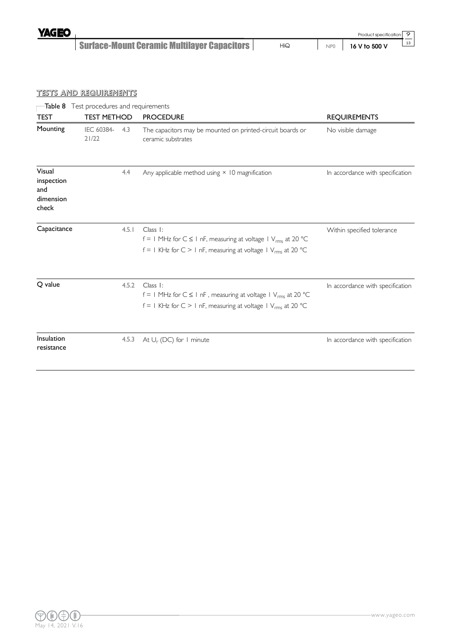**YAGEO** 

Surface-Mount Ceramic Multilayer Capacitors

9 13

#### TESTS AND REQUIREMENTS

| Table 8                                           |                     |       | Test procedures and requirements                                                                                                                                           |                                  |  |  |  |  |  |  |  |
|---------------------------------------------------|---------------------|-------|----------------------------------------------------------------------------------------------------------------------------------------------------------------------------|----------------------------------|--|--|--|--|--|--|--|
| <b>TEST</b>                                       | <b>TEST METHOD</b>  |       | <b>PROCEDURE</b>                                                                                                                                                           | <b>REQUIREMENTS</b>              |  |  |  |  |  |  |  |
| Mounting                                          | IEC 60384-<br>21/22 | 4.3   | The capacitors may be mounted on printed-circuit boards or<br>ceramic substrates                                                                                           | No visible damage                |  |  |  |  |  |  |  |
| Visual<br>inspection<br>and<br>dimension<br>check |                     | 4.4   | Any applicable method using $\times$ 10 magnification                                                                                                                      | In accordance with specification |  |  |  |  |  |  |  |
| Capacitance                                       |                     | 4.5.1 | Class 1:<br>$f = 1$ MHz for $C \le 1$ nF, measuring at voltage $1$ V <sub>rms</sub> at 20 °C<br>$f = 1$ KHz for C > 1 nF, measuring at voltage 1 V <sub>rms</sub> at 20 °C | Within specified tolerance       |  |  |  |  |  |  |  |
| Q value                                           |                     | 4.5.2 | Class I:<br>$f = 1$ MHz for $C \le 1$ nF, measuring at voltage $1$ V <sub>rms</sub> at 20 °C<br>$f = 1$ KHz for C > 1 nF, measuring at voltage 1 V <sub>rms</sub> at 20 °C | In accordance with specification |  |  |  |  |  |  |  |
| Insulation<br>resistance                          |                     | 4.5.3 | At $U_r$ (DC) for 1 minute                                                                                                                                                 | In accordance with specification |  |  |  |  |  |  |  |

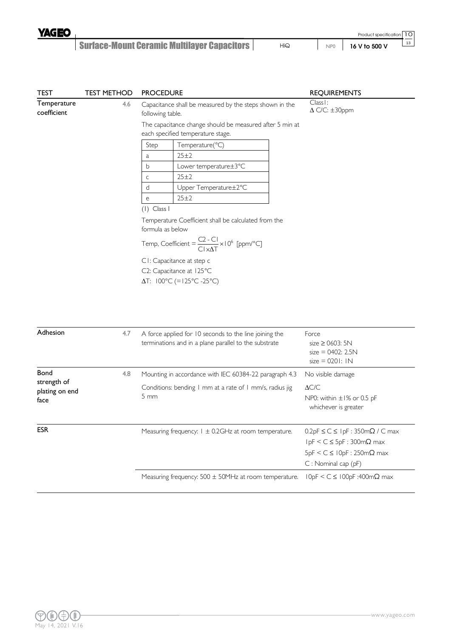

| <b>TEST</b>                                                              | <b>TEST METHOD</b> | <b>PROCEDURE</b>                                                                                                                                                                                                                                                                                                                                                                                                                       | <b>REQUIREMENTS</b>                                                                                                     |  |
|--------------------------------------------------------------------------|--------------------|----------------------------------------------------------------------------------------------------------------------------------------------------------------------------------------------------------------------------------------------------------------------------------------------------------------------------------------------------------------------------------------------------------------------------------------|-------------------------------------------------------------------------------------------------------------------------|--|
| Temperature<br>coefficient                                               | 4.6                | Capacitance shall be measured by the steps shown in the<br>following table.<br>The capacitance change should be measured after 5 min at<br>each specified temperature stage.                                                                                                                                                                                                                                                           | Class I:<br>$\Delta$ C/C: $\pm$ 30ppm                                                                                   |  |
|                                                                          |                    | Step<br>Temperature(°C)<br>$25 + 2$<br>a<br>$\mathsf b$<br>Lower temperature±3°C<br>25±2<br>$\mathsf C$<br>d<br>Upper Temperature±2°C<br>$25 + 2$<br>e<br>$(1)$ Class I<br>Temperature Coefficient shall be calculated from the<br>formula as below<br>Temp, Coefficient = $\frac{C2 - C1}{C1 \times AT} \times 10^6$ [ppm/°C]<br>CI: Capacitance at step c<br>C2: Capacitance at 125°C<br>$\Delta T$ : $100^{\circ}$ C (=125°C -25°C) |                                                                                                                         |  |
| Adhesion                                                                 | 4.7                | A force applied for 10 seconds to the line joining the<br>terminations and in a plane parallel to the substrate                                                                                                                                                                                                                                                                                                                        | Force<br>size $\geq$ 0603: 5N<br>$size = 0402: 2.5N$<br>$size = 0201:1N$                                                |  |
| Bond<br>4.8<br>strength of<br>plating on end<br>$5 \, \text{mm}$<br>face |                    | Mounting in accordance with IEC 60384-22 paragraph 4.3<br>Conditions: bending I mm at a rate of I mm/s, radius jig                                                                                                                                                                                                                                                                                                                     | No visible damage<br>$\Delta C/C$<br>NP0: within ±1% or 0.5 pF<br>whichever is greater                                  |  |
| <b>ESR</b>                                                               |                    | Measuring frequency: $1 \pm 0.2$ GHz at room temperature.                                                                                                                                                                                                                                                                                                                                                                              | $0.2pF \le C \le 1pF : 350m\Omega / C$ max<br>IpF < $C \le 5pF : 300m\Omega$ max<br>$5pF < C \le 10pF : 250m\Omega$ max |  |

Measuring frequency: 500 ± 50MHz at room temperature. 10pF < C ≤ 100pF :400mΩ max

C : Nominal cap (pF)

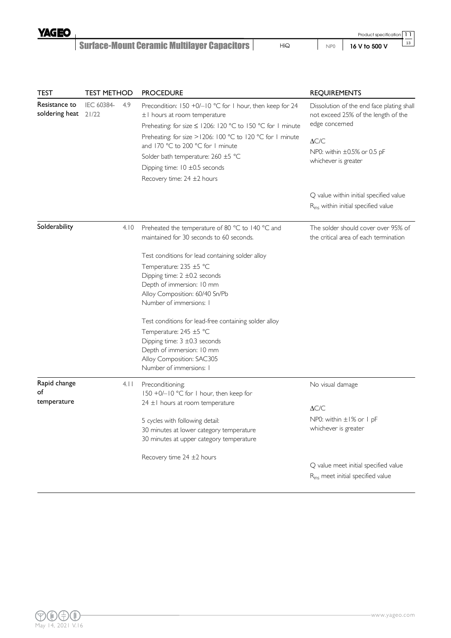

|  | Product specification   1 |  |
|--|---------------------------|--|
|  | 16 V to 500 V             |  |
|  |                           |  |

| <b>TEST</b>                     | <b>TEST METHOD</b>  |      | <b>PROCEDURE</b>                                                                                                                                                                                          | <b>REQUIREMENTS</b>                                                                               |  |
|---------------------------------|---------------------|------|-----------------------------------------------------------------------------------------------------------------------------------------------------------------------------------------------------------|---------------------------------------------------------------------------------------------------|--|
| Resistance to<br>soldering heat | IEC 60384-<br>21/22 | 4.9  | Precondition: 150 +0/-10 °C for 1 hour, then keep for 24<br>$\pm$   hours at room temperature                                                                                                             | Dissolution of the end face plating shall<br>not exceed 25% of the length of the<br>edge concemed |  |
|                                 |                     |      | Preheating: for size $\leq$ 1206: 120 °C to 150 °C for 1 minute<br>Preheating: for size $>1206$ : 100 °C to 120 °C for 1 minute<br>and 170 °C to 200 °C for 1 minute                                      | $\Delta C/C$                                                                                      |  |
|                                 |                     |      | Solder bath temperature: 260 ±5 °C<br>Dipping time: $10 \pm 0.5$ seconds                                                                                                                                  | NP0: within $\pm 0.5\%$ or 0.5 pF<br>whichever is greater                                         |  |
|                                 |                     |      | Recovery time: $24 \pm 2$ hours                                                                                                                                                                           |                                                                                                   |  |
|                                 |                     |      |                                                                                                                                                                                                           | Q value within initial specified value<br>R <sub>ins</sub> within initial specified value         |  |
| Solderability                   |                     | 4.10 | Preheated the temperature of 80 °C to 140 °C and<br>maintained for 30 seconds to 60 seconds.                                                                                                              | The solder should cover over 95% of<br>the critical area of each termination                      |  |
|                                 |                     |      | Test conditions for lead containing solder alloy                                                                                                                                                          |                                                                                                   |  |
|                                 |                     |      | Temperature: 235 ±5 °C<br>Dipping time: $2 \pm 0.2$ seconds<br>Depth of immersion: 10 mm<br>Alloy Composition: 60/40 Sn/Pb                                                                                |                                                                                                   |  |
|                                 |                     |      | Number of immersions: I                                                                                                                                                                                   |                                                                                                   |  |
|                                 |                     |      | Test conditions for lead-free containing solder alloy<br>Temperature: 245 ±5 °C<br>Dipping time: $3 \pm 0.3$ seconds<br>Depth of immersion: 10 mm<br>Alloy Composition: SAC305<br>Number of immersions: I |                                                                                                   |  |
| Rapid change<br>of              |                     | 4.11 | Preconditioning;<br>150 +0/-10 °C for 1 hour, then keep for                                                                                                                                               | No visual damage                                                                                  |  |
| temperature                     |                     |      | $24 \pm 1$ hours at room temperature                                                                                                                                                                      | $\Delta C/C$                                                                                      |  |
|                                 |                     |      | 5 cycles with following detail:<br>30 minutes at lower category temperature<br>30 minutes at upper category temperature                                                                                   | NP0: within $\pm 1\%$ or 1 pF<br>whichever is greater                                             |  |
|                                 |                     |      | Recovery time $24 \pm 2$ hours                                                                                                                                                                            | Q value meet initial specified value<br>R <sub>ins</sub> meet initial specified value             |  |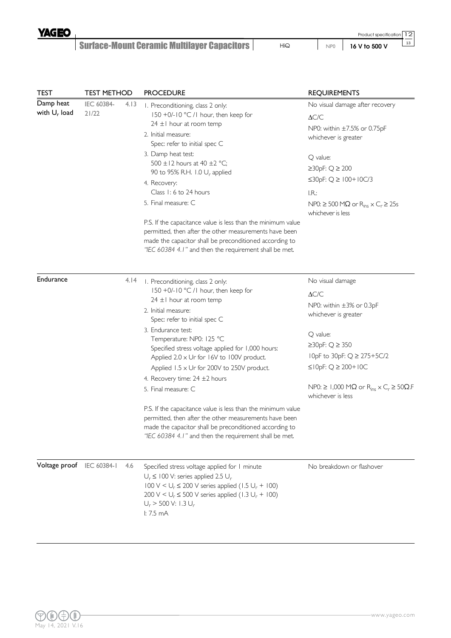

13

| <b>TEST</b>                  | <b>TEST METHOD</b>  |      | <b>PROCEDURE</b>                                                                                                                                                                                                                                                                                                                                                                                                                                                                                                                                                                    | <b>REQUIREMENTS</b>                                                                                                                                                                                                                                                                                      |
|------------------------------|---------------------|------|-------------------------------------------------------------------------------------------------------------------------------------------------------------------------------------------------------------------------------------------------------------------------------------------------------------------------------------------------------------------------------------------------------------------------------------------------------------------------------------------------------------------------------------------------------------------------------------|----------------------------------------------------------------------------------------------------------------------------------------------------------------------------------------------------------------------------------------------------------------------------------------------------------|
| Damp heat<br>with $U_r$ load | IEC 60384-<br>21/22 | 4.13 | I. Preconditioning, class 2 only:<br>150 +0/-10 °C /1 hour, then keep for<br>$24 \pm 1$ hour at room temp<br>2. Initial measure:<br>Spec: refer to initial spec C<br>3. Damp heat test:<br>500 $\pm$ 12 hours at 40 $\pm$ 2 °C;<br>90 to 95% R.H. 1.0 $U_r$ applied<br>4. Recovery:<br>Class 1: 6 to 24 hours<br>5. Final measure: C<br>P.S. If the capacitance value is less than the minimum value<br>permitted, then after the other measurements have been<br>made the capacitor shall be preconditioned according to<br>"IEC 60384 4.1" and then the requirement shall be met. | No visual damage after recovery<br>$\Delta C/C$<br>NP0: within ±7.5% or 0.75pF<br>whichever is greater<br>Q value:<br>$\geq$ 30pF: Q $\geq$ 200<br>≤30pF: $Q \ge 100+10C/3$<br>IR:<br>$NP0: \geq 500 M\Omega$ or $R_{ins} \times C_r \geq 25s$<br>whichever is less                                      |
| Endurance                    |                     | 4.14 | I. Preconditioning, class 2 only:<br>150 +0/-10 °C /1 hour, then keep for<br>$24 \pm 1$ hour at room temp<br>2. Initial measure:<br>Spec: refer to initial spec C<br>3. Endurance test:<br>Temperature: NP0: 125 °C<br>Specified stress voltage applied for 1,000 hours:<br>Applied 2.0 x Ur for 16V to 100V product.<br>Applied $1.5 \times Ur$ for 200V to 250V product.<br>4. Recovery time: $24 \pm 2$ hours<br>5. Final measure: C                                                                                                                                             | No visual damage<br>$\Delta C/C$<br>NP0: within ±3% or 0.3pF<br>whichever is greater<br>Q value:<br>$\geq$ 30 <sub>pF</sub> : Q $\geq$ 350<br>10pF to 30pF: Q ≥ 275+5C/2<br>$≤$   0pF: Q $≥$ 200+   0C<br>NP0: $\geq$ 1,000 M $\Omega$ or R <sub>ins</sub> $\times$ C <sub>r</sub> $\geq$ 50 $\Omega$ .F |
|                              |                     |      | P.S. If the capacitance value is less than the minimum value<br>permitted, then after the other measurements have been<br>made the capacitor shall be preconditioned according to<br>"IEC 60384 4.1" and then the requirement shall be met.                                                                                                                                                                                                                                                                                                                                         | whichever is less                                                                                                                                                                                                                                                                                        |
| Voltage proof                | IEC 60384-1         | 4.6  | Specified stress voltage applied for I minute<br>$U_r \leq 100$ V: series applied 2.5 $U_r$<br>$100 \text{ V} < U_r \le 200 \text{ V}$ series applied (1.5 $U_r$ + 100)<br>200 V < $U_r \le 500$ V series applied (1.3 $U_r$ + 100)<br>$U_r$ > 500 V: 1.3 $U_r$<br>l: 7.5 mA                                                                                                                                                                                                                                                                                                        | No breakdown or flashover                                                                                                                                                                                                                                                                                |